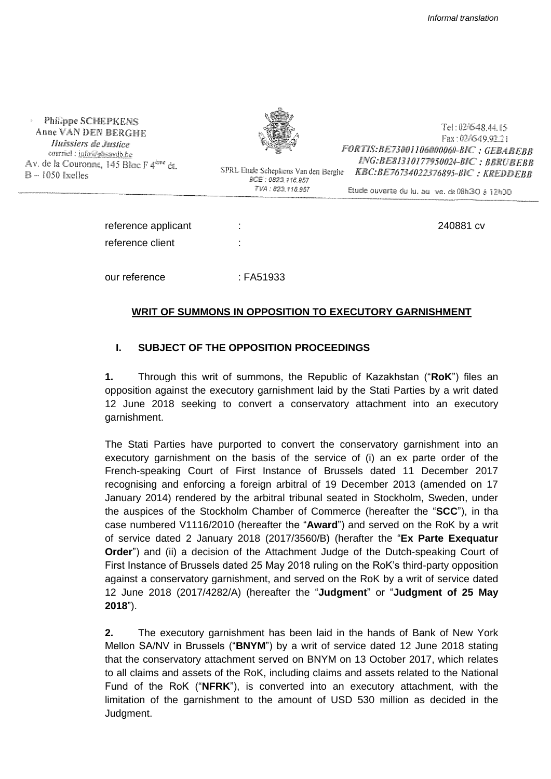Philippe SCHEPKENS Anne VAN DEN BERGHE Huissiers de Justice counted : info@phsardb.be Av. de la Couronne, 145 Bloc F 4<sup>ère</sup> ét. B-H050 Ixelles



BCE: 0823.116.957 TVA: 823,116.957

Tel: 02/648.44.15 Fax: 02/649 9221 FORTIS: BE73001106000060-BIC: GEBABEBB ING:BE81310177950024-BIC: BBRUBEBB SPRL Etude Schepkens Van den Berghe KBC:BE76734022376895-BIC: KREDDEBB

Etude ouverte du la. au ve. de 08h3O à 12h0O

| reference applicant | ٠                   | 240881 cv |
|---------------------|---------------------|-----------|
| reference client    | ٠<br>$\blacksquare$ |           |
|                     |                     |           |
| our reference       | : FA51933           |           |

# **WRIT OF SUMMONS IN OPPOSITION TO EXECUTORY GARNISHMENT**

# **I. SUBJECT OF THE OPPOSITION PROCEEDINGS**

**1.** Through this writ of summons, the Republic of Kazakhstan ("**RoK**") files an opposition against the executory garnishment laid by the Stati Parties by a writ dated 12 June 2018 seeking to convert a conservatory attachment into an executory garnishment.

The Stati Parties have purported to convert the conservatory garnishment into an executory garnishment on the basis of the service of (i) an ex parte order of the French-speaking Court of First Instance of Brussels dated 11 December 2017 recognising and enforcing a foreign arbitral of 19 December 2013 (amended on 17 January 2014) rendered by the arbitral tribunal seated in Stockholm, Sweden, under the auspices of the Stockholm Chamber of Commerce (hereafter the "**SCC**"), in tha case numbered V1116/2010 (hereafter the "**Award**") and served on the RoK by a writ of service dated 2 January 2018 (2017/3560/B) (herafter the "**Ex Parte Exequatur Order**") and (ii) a decision of the Attachment Judge of the Dutch-speaking Court of First Instance of Brussels dated 25 May 2018 ruling on the RoK's third-party opposition against a conservatory garnishment, and served on the RoK by a writ of service dated 12 June 2018 (2017/4282/A) (hereafter the "**Judgment**" or "**Judgment of 25 May 2018**").

**2.** The executory garnishment has been laid in the hands of Bank of New York Mellon SA/NV in Brussels ("**BNYM**") by a writ of service dated 12 June 2018 stating that the conservatory attachment served on BNYM on 13 October 2017, which relates to all claims and assets of the RoK, including claims and assets related to the National Fund of the RoK ("**NFRK**"), is converted into an executory attachment, with the limitation of the garnishment to the amount of USD 530 million as decided in the Judgment.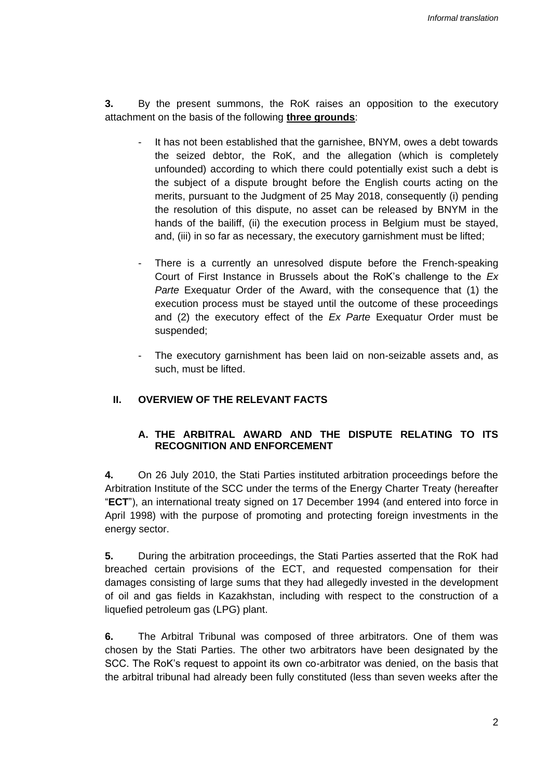**3.** By the present summons, the RoK raises an opposition to the executory attachment on the basis of the following **three grounds**:

- It has not been established that the garnishee, BNYM, owes a debt towards the seized debtor, the RoK, and the allegation (which is completely unfounded) according to which there could potentially exist such a debt is the subject of a dispute brought before the English courts acting on the merits, pursuant to the Judgment of 25 May 2018, consequently (i) pending the resolution of this dispute, no asset can be released by BNYM in the hands of the bailiff, (ii) the execution process in Belgium must be stayed, and, (iii) in so far as necessary, the executory garnishment must be lifted;
- There is a currently an unresolved dispute before the French-speaking Court of First Instance in Brussels about the RoK's challenge to the *Ex Parte* Exequatur Order of the Award, with the consequence that (1) the execution process must be stayed until the outcome of these proceedings and (2) the executory effect of the *Ex Parte* Exequatur Order must be suspended;
- The executory garnishment has been laid on non-seizable assets and, as such, must be lifted.

#### **II. OVERVIEW OF THE RELEVANT FACTS**

## **A. THE ARBITRAL AWARD AND THE DISPUTE RELATING TO ITS RECOGNITION AND ENFORCEMENT**

**4.** On 26 July 2010, the Stati Parties instituted arbitration proceedings before the Arbitration Institute of the SCC under the terms of the Energy Charter Treaty (hereafter "**ECT**"), an international treaty signed on 17 December 1994 (and entered into force in April 1998) with the purpose of promoting and protecting foreign investments in the energy sector.

**5.** During the arbitration proceedings, the Stati Parties asserted that the RoK had breached certain provisions of the ECT, and requested compensation for their damages consisting of large sums that they had allegedly invested in the development of oil and gas fields in Kazakhstan, including with respect to the construction of a liquefied petroleum gas (LPG) plant.

**6.** The Arbitral Tribunal was composed of three arbitrators. One of them was chosen by the Stati Parties. The other two arbitrators have been designated by the SCC. The RoK's request to appoint its own co-arbitrator was denied, on the basis that the arbitral tribunal had already been fully constituted (less than seven weeks after the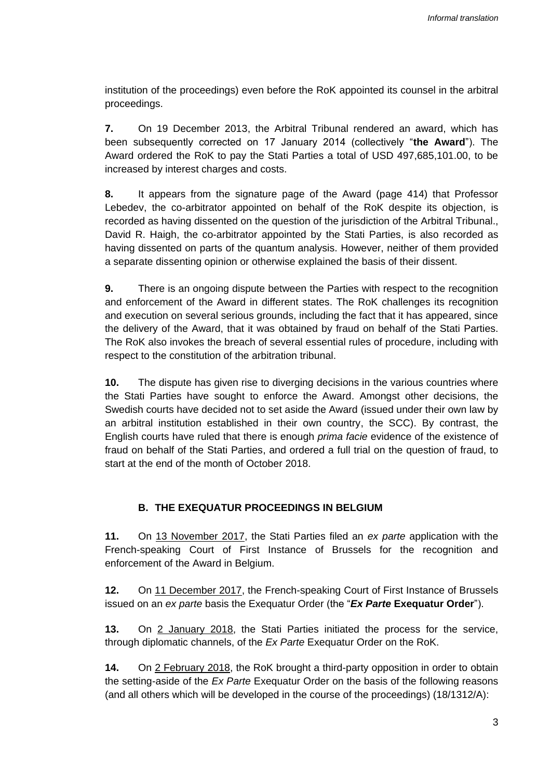institution of the proceedings) even before the RoK appointed its counsel in the arbitral proceedings.

**7.** On 19 December 2013, the Arbitral Tribunal rendered an award, which has been subsequently corrected on 17 January 2014 (collectively "**the Award**"). The Award ordered the RoK to pay the Stati Parties a total of USD 497,685,101.00, to be increased by interest charges and costs.

**8.** It appears from the signature page of the Award (page 414) that Professor Lebedev, the co-arbitrator appointed on behalf of the RoK despite its objection, is recorded as having dissented on the question of the jurisdiction of the Arbitral Tribunal., David R. Haigh, the co-arbitrator appointed by the Stati Parties, is also recorded as having dissented on parts of the quantum analysis. However, neither of them provided a separate dissenting opinion or otherwise explained the basis of their dissent.

**9.** There is an ongoing dispute between the Parties with respect to the recognition and enforcement of the Award in different states. The RoK challenges its recognition and execution on several serious grounds, including the fact that it has appeared, since the delivery of the Award, that it was obtained by fraud on behalf of the Stati Parties. The RoK also invokes the breach of several essential rules of procedure, including with respect to the constitution of the arbitration tribunal.

**10.** The dispute has given rise to diverging decisions in the various countries where the Stati Parties have sought to enforce the Award. Amongst other decisions, the Swedish courts have decided not to set aside the Award (issued under their own law by an arbitral institution established in their own country, the SCC). By contrast, the English courts have ruled that there is enough *prima facie* evidence of the existence of fraud on behalf of the Stati Parties, and ordered a full trial on the question of fraud, to start at the end of the month of October 2018.

## **B. THE EXEQUATUR PROCEEDINGS IN BELGIUM**

**11.** On 13 November 2017, the Stati Parties filed an *ex parte* application with the French-speaking Court of First Instance of Brussels for the recognition and enforcement of the Award in Belgium.

**12.** On 11 December 2017, the French-speaking Court of First Instance of Brussels issued on an *ex parte* basis the Exequatur Order (the "*Ex Parte* **Exequatur Order**").

**13.** On 2 January 2018, the Stati Parties initiated the process for the service, through diplomatic channels, of the *Ex Parte* Exequatur Order on the RoK.

**14.** On 2 February 2018, the RoK brought a third-party opposition in order to obtain the setting-aside of the *Ex Parte* Exequatur Order on the basis of the following reasons (and all others which will be developed in the course of the proceedings) (18/1312/A):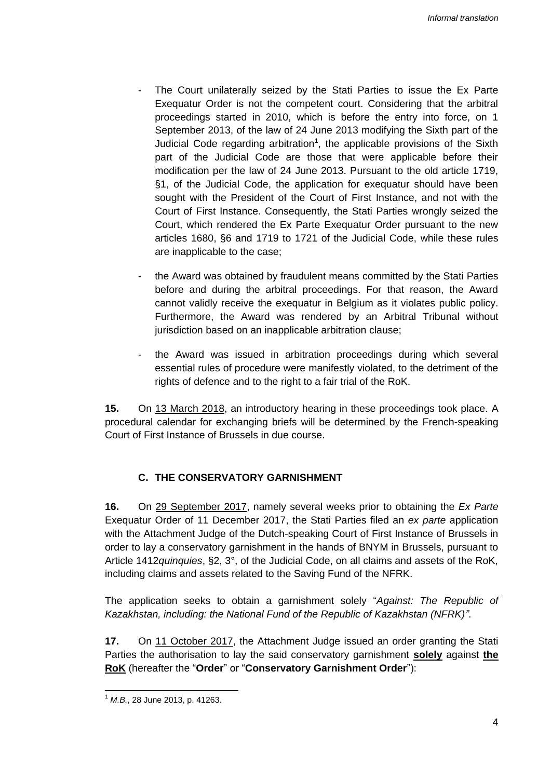- The Court unilaterally seized by the Stati Parties to issue the Ex Parte Exequatur Order is not the competent court. Considering that the arbitral proceedings started in 2010, which is before the entry into force, on 1 September 2013, of the law of 24 June 2013 modifying the Sixth part of the Judicial Code regarding arbitration<sup>1</sup>, the applicable provisions of the Sixth part of the Judicial Code are those that were applicable before their modification per the law of 24 June 2013. Pursuant to the old article 1719, §1, of the Judicial Code, the application for exequatur should have been sought with the President of the Court of First Instance, and not with the Court of First Instance. Consequently, the Stati Parties wrongly seized the Court, which rendered the Ex Parte Exequatur Order pursuant to the new articles 1680, §6 and 1719 to 1721 of the Judicial Code, while these rules are inapplicable to the case;
- the Award was obtained by fraudulent means committed by the Stati Parties before and during the arbitral proceedings. For that reason, the Award cannot validly receive the exequatur in Belgium as it violates public policy. Furthermore, the Award was rendered by an Arbitral Tribunal without jurisdiction based on an inapplicable arbitration clause;
- the Award was issued in arbitration proceedings during which several essential rules of procedure were manifestly violated, to the detriment of the rights of defence and to the right to a fair trial of the RoK.

**15.** On 13 March 2018, an introductory hearing in these proceedings took place. A procedural calendar for exchanging briefs will be determined by the French-speaking Court of First Instance of Brussels in due course.

## **C. THE CONSERVATORY GARNISHMENT**

**16.** On 29 September 2017, namely several weeks prior to obtaining the *Ex Parte* Exequatur Order of 11 December 2017, the Stati Parties filed an *ex parte* application with the Attachment Judge of the Dutch-speaking Court of First Instance of Brussels in order to lay a conservatory garnishment in the hands of BNYM in Brussels, pursuant to Article 1412*quinquies*, §2, 3°, of the Judicial Code, on all claims and assets of the RoK, including claims and assets related to the Saving Fund of the NFRK.

The application seeks to obtain a garnishment solely "*Against: The Republic of Kazakhstan, including: the National Fund of the Republic of Kazakhstan (NFRK)"*.

**17.** On 11 October 2017, the Attachment Judge issued an order granting the Stati Parties the authorisation to lay the said conservatory garnishment **solely** against **the RoK** (hereafter the "**Order**" or "**Conservatory Garnishment Order**"):

 <sup>1</sup> *M.B.*, 28 June 2013, p. 41263.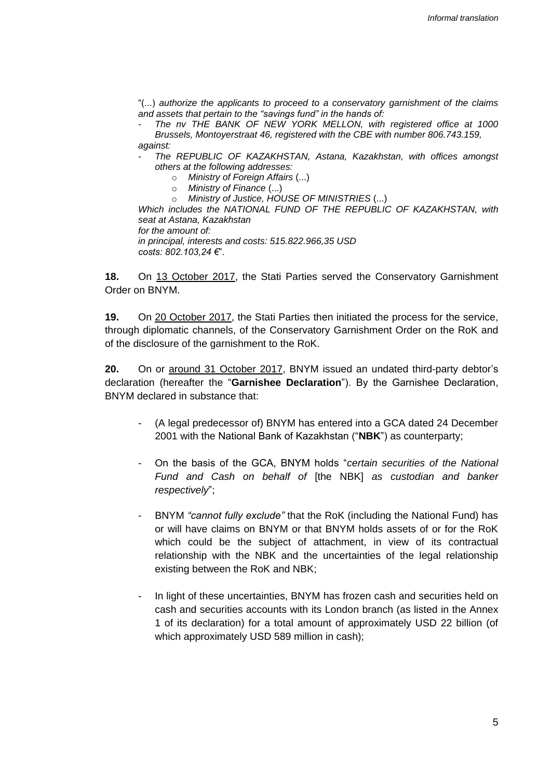"(...) *authorize the applicants to proceed to a conservatory garnishment of the claims and assets that pertain to the "savings fund" in the hands of:*

- *The nv THE BANK OF NEW YORK MELLON, with registered office at 1000 Brussels, Montoyerstraat 46, registered with the CBE with number 806.743.159, against:*

- *The REPUBLIC OF KAZAKHSTAN, Astana, Kazakhstan, with offices amongst others at the following addresses:*

- o *Ministry of Foreign Affairs* (...)
- o *Ministry of Finance* (...)
- o *Ministry of Justice, HOUSE OF MINISTRIES* (...)

*Which includes the NATIONAL FUND OF THE REPUBLIC OF KAZAKHSTAN, with seat at Astana, Kazakhstan for the amount of: in principal, interests and costs: 515.822.966,35 USD*

*costs: 802.103,24 €*".

**18.** On 13 October 2017, the Stati Parties served the Conservatory Garnishment Order on BNYM.

**19.** On 20 October 2017, the Stati Parties then initiated the process for the service, through diplomatic channels, of the Conservatory Garnishment Order on the RoK and of the disclosure of the garnishment to the RoK.

**20.** On or around 31 October 2017, BNYM issued an undated third-party debtor's declaration (hereafter the "**Garnishee Declaration**"). By the Garnishee Declaration, BNYM declared in substance that:

- (A legal predecessor of) BNYM has entered into a GCA dated 24 December 2001 with the National Bank of Kazakhstan ("**NBK**") as counterparty;
- On the basis of the GCA, BNYM holds "*certain securities of the National Fund and Cash on behalf of* [the NBK] *as custodian and banker respectively*";
- BNYM *"cannot fully exclude"* that the RoK (including the National Fund) has or will have claims on BNYM or that BNYM holds assets of or for the RoK which could be the subject of attachment, in view of its contractual relationship with the NBK and the uncertainties of the legal relationship existing between the RoK and NBK;
- In light of these uncertainties, BNYM has frozen cash and securities held on cash and securities accounts with its London branch (as listed in the Annex 1 of its declaration) for a total amount of approximately USD 22 billion (of which approximately USD 589 million in cash);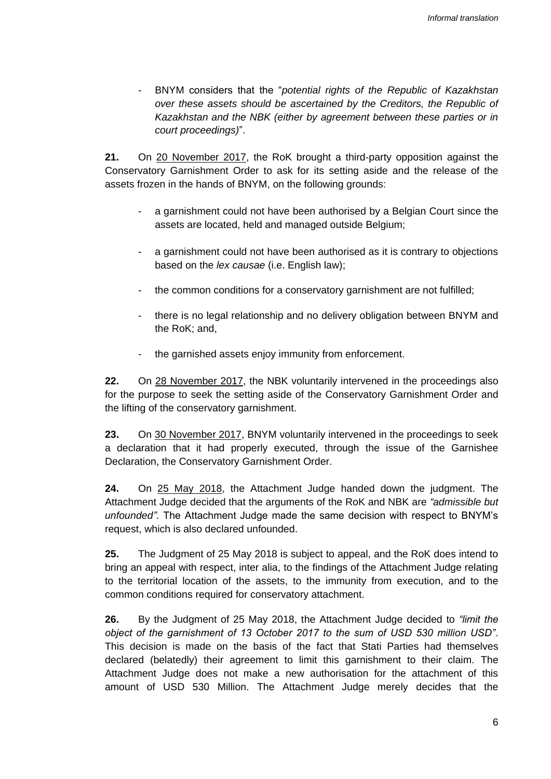- BNYM considers that the "*potential rights of the Republic of Kazakhstan over these assets should be ascertained by the Creditors, the Republic of Kazakhstan and the NBK (either by agreement between these parties or in court proceedings)*".

**21.** On 20 November 2017, the RoK brought a third-party opposition against the Conservatory Garnishment Order to ask for its setting aside and the release of the assets frozen in the hands of BNYM, on the following grounds:

- a garnishment could not have been authorised by a Belgian Court since the assets are located, held and managed outside Belgium;
- a garnishment could not have been authorised as it is contrary to objections based on the *lex causae* (i.e. English law);
- the common conditions for a conservatory garnishment are not fulfilled:
- there is no legal relationship and no delivery obligation between BNYM and the RoK; and,
- the garnished assets enjoy immunity from enforcement.

**22.** On 28 November 2017, the NBK voluntarily intervened in the proceedings also for the purpose to seek the setting aside of the Conservatory Garnishment Order and the lifting of the conservatory garnishment.

**23.** On 30 November 2017, BNYM voluntarily intervened in the proceedings to seek a declaration that it had properly executed, through the issue of the Garnishee Declaration, the Conservatory Garnishment Order.

**24.** On 25 May 2018, the Attachment Judge handed down the judgment. The Attachment Judge decided that the arguments of the RoK and NBK are *"admissible but unfounded"*. The Attachment Judge made the same decision with respect to BNYM's request, which is also declared unfounded.

**25.** The Judgment of 25 May 2018 is subject to appeal, and the RoK does intend to bring an appeal with respect, inter alia, to the findings of the Attachment Judge relating to the territorial location of the assets, to the immunity from execution, and to the common conditions required for conservatory attachment.

**26.** By the Judgment of 25 May 2018, the Attachment Judge decided to *"limit the object of the garnishment of 13 October 2017 to the sum of USD 530 million USD"*. This decision is made on the basis of the fact that Stati Parties had themselves declared (belatedly) their agreement to limit this garnishment to their claim. The Attachment Judge does not make a new authorisation for the attachment of this amount of USD 530 Million. The Attachment Judge merely decides that the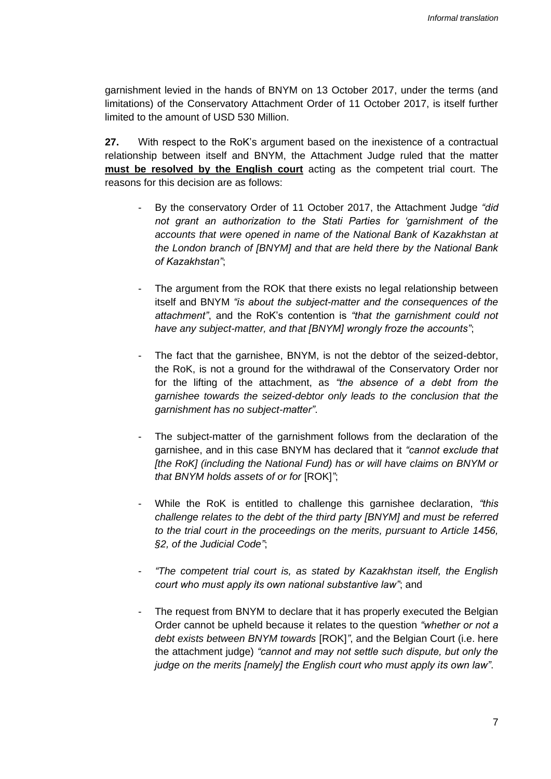garnishment levied in the hands of BNYM on 13 October 2017, under the terms (and limitations) of the Conservatory Attachment Order of 11 October 2017, is itself further limited to the amount of USD 530 Million.

**27.** With respect to the RoK's argument based on the inexistence of a contractual relationship between itself and BNYM, the Attachment Judge ruled that the matter **must be resolved by the English court** acting as the competent trial court. The reasons for this decision are as follows:

- By the conservatory Order of 11 October 2017, the Attachment Judge *"did not grant an authorization to the Stati Parties for 'garnishment of the accounts that were opened in name of the National Bank of Kazakhstan at the London branch of [BNYM] and that are held there by the National Bank of Kazakhstan"*;
- The argument from the ROK that there exists no legal relationship between itself and BNYM *"is about the subject-matter and the consequences of the attachment"*, and the RoK's contention is *"that the garnishment could not have any subject-matter, and that [BNYM] wrongly froze the accounts"*;
- The fact that the garnishee, BNYM, is not the debtor of the seized-debtor, the RoK, is not a ground for the withdrawal of the Conservatory Order nor for the lifting of the attachment, as *"the absence of a debt from the garnishee towards the seized-debtor only leads to the conclusion that the garnishment has no subject-matter"*.
- The subject-matter of the garnishment follows from the declaration of the garnishee, and in this case BNYM has declared that it *"cannot exclude that [the RoK] (including the National Fund) has or will have claims on BNYM or that BNYM holds assets of or for* [ROK]*"*;
- While the RoK is entitled to challenge this garnishee declaration, *"this challenge relates to the debt of the third party [BNYM] and must be referred to the trial court in the proceedings on the merits, pursuant to Article 1456, §2, of the Judicial Code"*;
- *"The competent trial court is, as stated by Kazakhstan itself, the English court who must apply its own national substantive law"*; and
- The request from BNYM to declare that it has properly executed the Belgian Order cannot be upheld because it relates to the question *"whether or not a debt exists between BNYM towards* [ROK]*"*, and the Belgian Court (i.e. here the attachment judge) *"cannot and may not settle such dispute, but only the judge on the merits [namely] the English court who must apply its own law"*.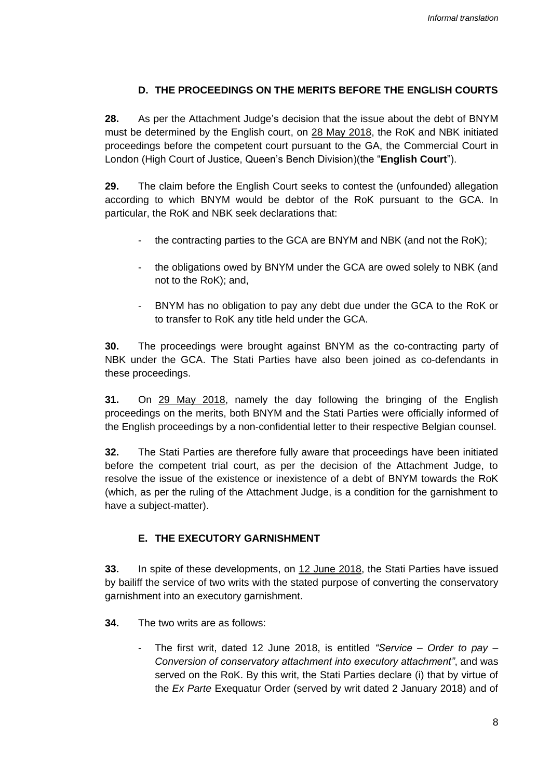## **D. THE PROCEEDINGS ON THE MERITS BEFORE THE ENGLISH COURTS**

**28.** As per the Attachment Judge's decision that the issue about the debt of BNYM must be determined by the English court, on 28 May 2018, the RoK and NBK initiated proceedings before the competent court pursuant to the GA, the Commercial Court in London (High Court of Justice, Queen's Bench Division)(the "**English Court**").

**29.** The claim before the English Court seeks to contest the (unfounded) allegation according to which BNYM would be debtor of the RoK pursuant to the GCA. In particular, the RoK and NBK seek declarations that:

- the contracting parties to the GCA are BNYM and NBK (and not the RoK);
- the obligations owed by BNYM under the GCA are owed solely to NBK (and not to the RoK); and,
- BNYM has no obligation to pay any debt due under the GCA to the RoK or to transfer to RoK any title held under the GCA.

**30.** The proceedings were brought against BNYM as the co-contracting party of NBK under the GCA. The Stati Parties have also been joined as co-defendants in these proceedings.

**31.** On 29 May 2018, namely the day following the bringing of the English proceedings on the merits, both BNYM and the Stati Parties were officially informed of the English proceedings by a non-confidential letter to their respective Belgian counsel.

**32.** The Stati Parties are therefore fully aware that proceedings have been initiated before the competent trial court, as per the decision of the Attachment Judge, to resolve the issue of the existence or inexistence of a debt of BNYM towards the RoK (which, as per the ruling of the Attachment Judge, is a condition for the garnishment to have a subject-matter).

## **E. THE EXECUTORY GARNISHMENT**

**33.** In spite of these developments, on 12 June 2018, the Stati Parties have issued by bailiff the service of two writs with the stated purpose of converting the conservatory garnishment into an executory garnishment.

- **34.** The two writs are as follows:
	- The first writ, dated 12 June 2018, is entitled *"Service – Order to pay – Conversion of conservatory attachment into executory attachment"*, and was served on the RoK. By this writ, the Stati Parties declare (i) that by virtue of the *Ex Parte* Exequatur Order (served by writ dated 2 January 2018) and of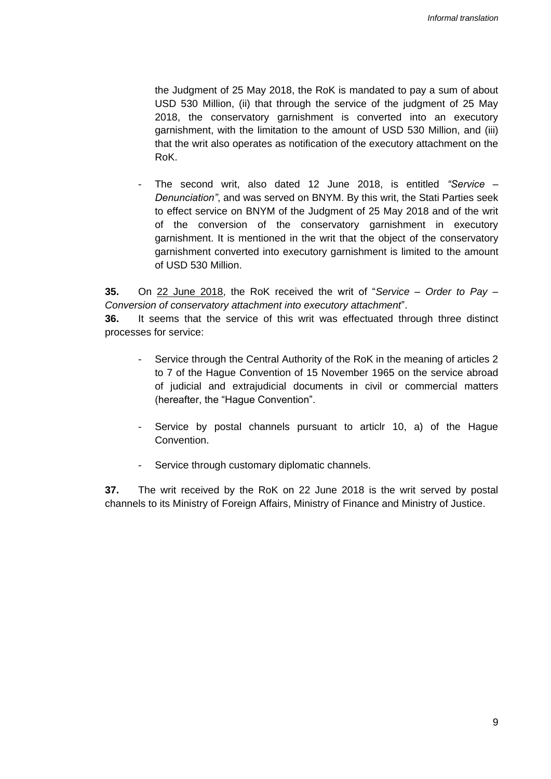the Judgment of 25 May 2018, the RoK is mandated to pay a sum of about USD 530 Million, (ii) that through the service of the judgment of 25 May 2018, the conservatory garnishment is converted into an executory garnishment, with the limitation to the amount of USD 530 Million, and (iii) that the writ also operates as notification of the executory attachment on the RoK.

- The second writ, also dated 12 June 2018, is entitled *"Service – Denunciation"*, and was served on BNYM. By this writ, the Stati Parties seek to effect service on BNYM of the Judgment of 25 May 2018 and of the writ of the conversion of the conservatory garnishment in executory garnishment. It is mentioned in the writ that the object of the conservatory garnishment converted into executory garnishment is limited to the amount of USD 530 Million.

**35.** On 22 June 2018, the RoK received the writ of "*Service – Order to Pay – Conversion of conservatory attachment into executory attachment*".

**36.** It seems that the service of this writ was effectuated through three distinct processes for service:

- Service through the Central Authority of the RoK in the meaning of articles 2 to 7 of the Hague Convention of 15 November 1965 on the service abroad of judicial and extrajudicial documents in civil or commercial matters (hereafter, the "Hague Convention".
- Service by postal channels pursuant to articlr 10, a) of the Hague Convention.
- Service through customary diplomatic channels.

**37.** The writ received by the RoK on 22 June 2018 is the writ served by postal channels to its Ministry of Foreign Affairs, Ministry of Finance and Ministry of Justice.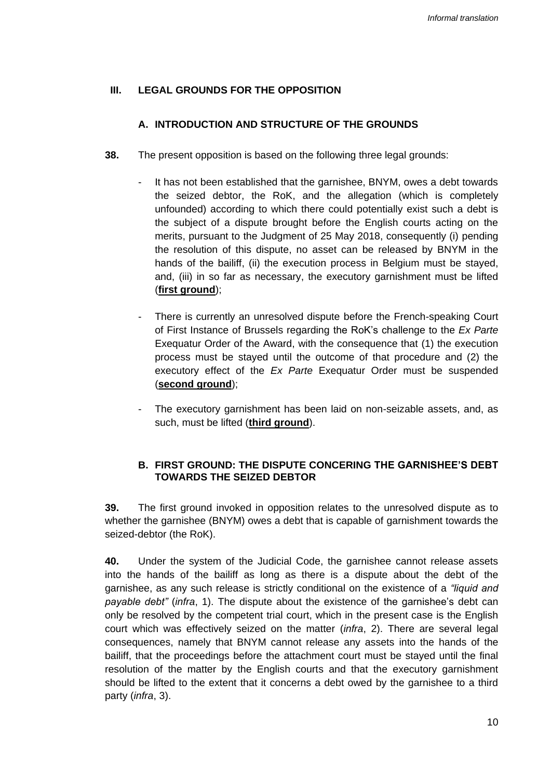### **III. LEGAL GROUNDS FOR THE OPPOSITION**

### **A. INTRODUCTION AND STRUCTURE OF THE GROUNDS**

- **38.** The present opposition is based on the following three legal grounds:
	- It has not been established that the garnishee, BNYM, owes a debt towards the seized debtor, the RoK, and the allegation (which is completely unfounded) according to which there could potentially exist such a debt is the subject of a dispute brought before the English courts acting on the merits, pursuant to the Judgment of 25 May 2018, consequently (i) pending the resolution of this dispute, no asset can be released by BNYM in the hands of the bailiff, (ii) the execution process in Belgium must be stayed, and, (iii) in so far as necessary, the executory garnishment must be lifted (**first ground**);
	- There is currently an unresolved dispute before the French-speaking Court of First Instance of Brussels regarding the RoK's challenge to the *Ex Parte* Exequatur Order of the Award, with the consequence that (1) the execution process must be stayed until the outcome of that procedure and (2) the executory effect of the *Ex Parte* Exequatur Order must be suspended (**second ground**);
	- The executory garnishment has been laid on non-seizable assets, and, as such, must be lifted (**third ground**).

## **B. FIRST GROUND: THE DISPUTE CONCERING THE GARNISHEE'S DEBT TOWARDS THE SEIZED DEBTOR**

**39.** The first ground invoked in opposition relates to the unresolved dispute as to whether the garnishee (BNYM) owes a debt that is capable of garnishment towards the seized-debtor (the RoK).

**40.** Under the system of the Judicial Code, the garnishee cannot release assets into the hands of the bailiff as long as there is a dispute about the debt of the garnishee, as any such release is strictly conditional on the existence of a *"liquid and payable debt"* (*infra*, 1). The dispute about the existence of the garnishee's debt can only be resolved by the competent trial court, which in the present case is the English court which was effectively seized on the matter (*infra*, 2). There are several legal consequences, namely that BNYM cannot release any assets into the hands of the bailiff, that the proceedings before the attachment court must be stayed until the final resolution of the matter by the English courts and that the executory garnishment should be lifted to the extent that it concerns a debt owed by the garnishee to a third party (*infra*, 3).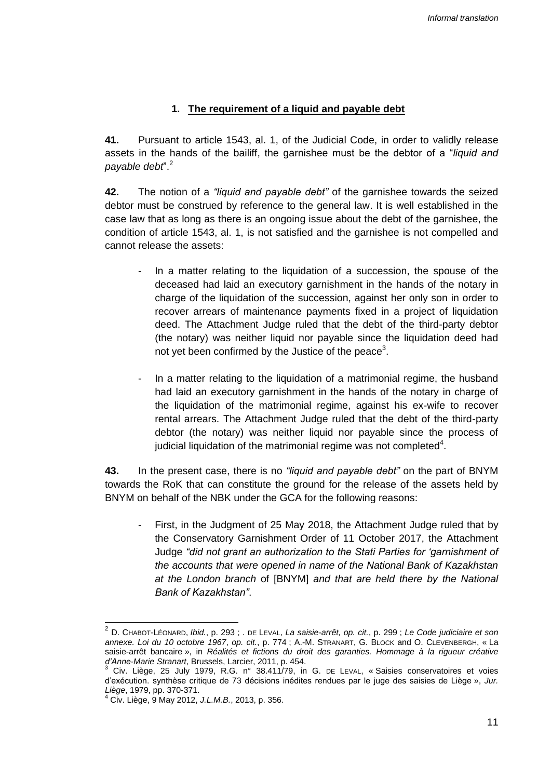## **1. The requirement of a liquid and payable debt**

**41.** Pursuant to article 1543, al. 1, of the Judicial Code, in order to validly release assets in the hands of the bailiff, the garnishee must be the debtor of a "*liquid and payable debt*". 2

**42.** The notion of a *"liquid and payable debt"* of the garnishee towards the seized debtor must be construed by reference to the general law. It is well established in the case law that as long as there is an ongoing issue about the debt of the garnishee, the condition of article 1543, al. 1, is not satisfied and the garnishee is not compelled and cannot release the assets:

- In a matter relating to the liquidation of a succession, the spouse of the deceased had laid an executory garnishment in the hands of the notary in charge of the liquidation of the succession, against her only son in order to recover arrears of maintenance payments fixed in a project of liquidation deed. The Attachment Judge ruled that the debt of the third-party debtor (the notary) was neither liquid nor payable since the liquidation deed had not yet been confirmed by the Justice of the peace<sup>3</sup>.
- In a matter relating to the liquidation of a matrimonial regime, the husband had laid an executory garnishment in the hands of the notary in charge of the liquidation of the matrimonial regime, against his ex-wife to recover rental arrears. The Attachment Judge ruled that the debt of the third-party debtor (the notary) was neither liquid nor payable since the process of judicial liquidation of the matrimonial regime was not completed<sup>4</sup>.

**43.** In the present case, there is no *"liquid and payable debt"* on the part of BNYM towards the RoK that can constitute the ground for the release of the assets held by BNYM on behalf of the NBK under the GCA for the following reasons:

First, in the Judgment of 25 May 2018, the Attachment Judge ruled that by the Conservatory Garnishment Order of 11 October 2017, the Attachment Judge *"did not grant an authorization to the Stati Parties for 'garnishment of the accounts that were opened in name of the National Bank of Kazakhstan at the London branch* of [BNYM] *and that are held there by the National Bank of Kazakhstan"*.

<sup>2</sup> D. CHABOT-LÉONARD, *Ibid.*, p. 293 ; . DE LEVAL, *La saisie-arrêt, op. cit.*, p. 299 ; *Le Code judiciaire et son annexe. Loi du 10 octobre 1967*, *op. cit.*, p. 774 ; A.-M. STRANART, G. BLOCK and O. CLEVENBERGH, « La saisie-arrêt bancaire », in *Réalités et fictions du droit des garanties. Hommage à la rigueur créative d'Anne-Marie Stranart*, Brussels, Larcier, 2011, p. 454.

<sup>3</sup> Civ. Liège, 25 July 1979, R.G. n° 38.411/79, in G. DE LEVAL, « Saisies conservatoires et voies d'exécution. synthèse critique de 73 décisions inédites rendues par le juge des saisies de Liège », *Jur. Liège*, 1979, pp. 370-371.

<sup>4</sup> Civ. Liège, 9 May 2012, *J.L.M.B.*, 2013, p. 356.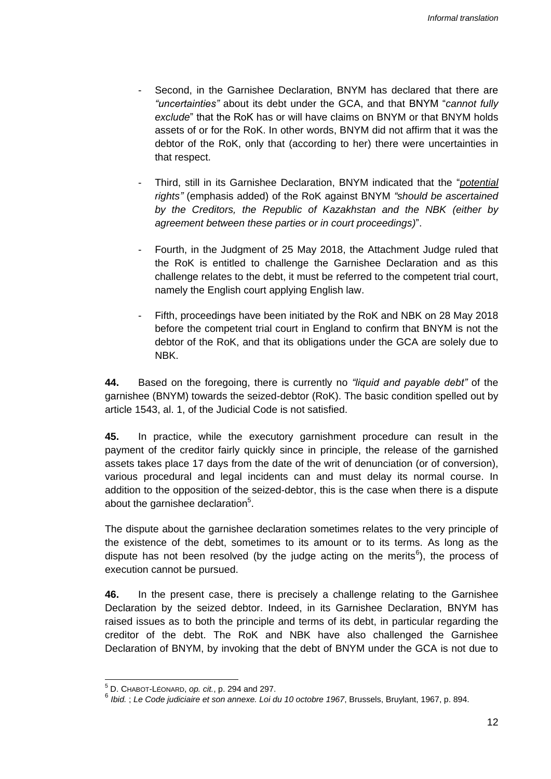- Second, in the Garnishee Declaration, BNYM has declared that there are *"uncertainties"* about its debt under the GCA, and that BNYM "*cannot fully exclude*" that the RoK has or will have claims on BNYM or that BNYM holds assets of or for the RoK. In other words, BNYM did not affirm that it was the debtor of the RoK, only that (according to her) there were uncertainties in that respect.
- Third, still in its Garnishee Declaration, BNYM indicated that the "*potential rights"* (emphasis added) of the RoK against BNYM *"should be ascertained by the Creditors, the Republic of Kazakhstan and the NBK (either by agreement between these parties or in court proceedings)*".
- Fourth, in the Judgment of 25 May 2018, the Attachment Judge ruled that the RoK is entitled to challenge the Garnishee Declaration and as this challenge relates to the debt, it must be referred to the competent trial court, namely the English court applying English law.
- Fifth, proceedings have been initiated by the RoK and NBK on 28 May 2018 before the competent trial court in England to confirm that BNYM is not the debtor of the RoK, and that its obligations under the GCA are solely due to NBK.

**44.** Based on the foregoing, there is currently no *"liquid and payable debt"* of the garnishee (BNYM) towards the seized-debtor (RoK). The basic condition spelled out by article 1543, al. 1, of the Judicial Code is not satisfied.

**45.** In practice, while the executory garnishment procedure can result in the payment of the creditor fairly quickly since in principle, the release of the garnished assets takes place 17 days from the date of the writ of denunciation (or of conversion), various procedural and legal incidents can and must delay its normal course. In addition to the opposition of the seized-debtor, this is the case when there is a dispute about the garnishee declaration $5$ .

The dispute about the garnishee declaration sometimes relates to the very principle of the existence of the debt, sometimes to its amount or to its terms. As long as the dispute has not been resolved (by the judge acting on the merits<sup>6</sup>), the process of execution cannot be pursued.

**46.** In the present case, there is precisely a challenge relating to the Garnishee Declaration by the seized debtor. Indeed, in its Garnishee Declaration, BNYM has raised issues as to both the principle and terms of its debt, in particular regarding the creditor of the debt. The RoK and NBK have also challenged the Garnishee Declaration of BNYM, by invoking that the debt of BNYM under the GCA is not due to

 $\overline{a}$ 

<sup>5</sup> D. CHABOT-LÉONARD, *op. cit.*, p. 294 and 297.

<sup>6</sup> *Ibid.* ; *Le Code judiciaire et son annexe. Loi du 10 octobre 1967*, Brussels, Bruylant, 1967, p. 894.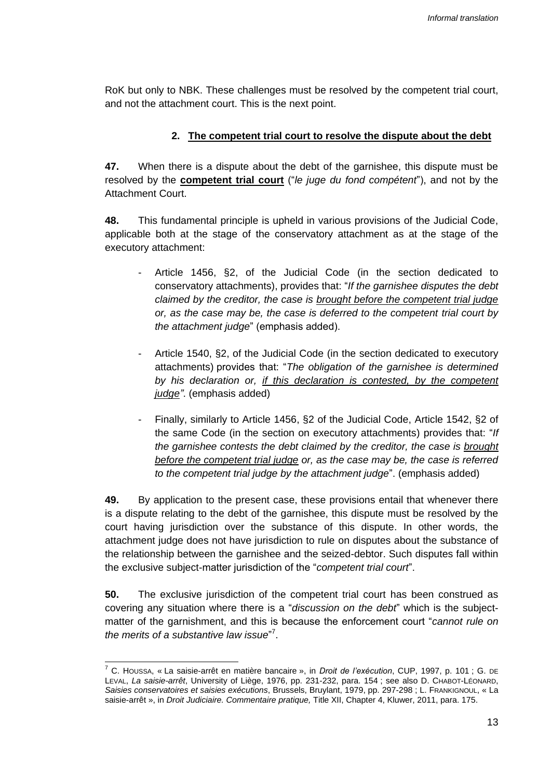RoK but only to NBK. These challenges must be resolved by the competent trial court, and not the attachment court. This is the next point.

### **2. The competent trial court to resolve the dispute about the debt**

**47.** When there is a dispute about the debt of the garnishee, this dispute must be resolved by the **competent trial court** ("*le juge du fond compétent*"), and not by the Attachment Court.

**48.** This fundamental principle is upheld in various provisions of the Judicial Code, applicable both at the stage of the conservatory attachment as at the stage of the executory attachment:

- Article 1456, §2, of the Judicial Code (in the section dedicated to conservatory attachments), provides that: "*If the garnishee disputes the debt claimed by the creditor, the case is brought before the competent trial judge or, as the case may be, the case is deferred to the competent trial court by the attachment judge*" (emphasis added).
- Article 1540, §2, of the Judicial Code (in the section dedicated to executory attachments) provides that: "*The obligation of the garnishee is determined by his declaration or, if this declaration is contested, by the competent judge"*. (emphasis added)
- Finally, similarly to Article 1456, §2 of the Judicial Code, Article 1542, §2 of the same Code (in the section on executory attachments) provides that: "*If the garnishee contests the debt claimed by the creditor, the case is brought before the competent trial judge or, as the case may be, the case is referred to the competent trial judge by the attachment judge*". (emphasis added)

**49.** By application to the present case, these provisions entail that whenever there is a dispute relating to the debt of the garnishee, this dispute must be resolved by the court having jurisdiction over the substance of this dispute. In other words, the attachment judge does not have jurisdiction to rule on disputes about the substance of the relationship between the garnishee and the seized-debtor. Such disputes fall within the exclusive subject-matter jurisdiction of the "*competent trial court*".

**50.** The exclusive jurisdiction of the competent trial court has been construed as covering any situation where there is a "*discussion on the debt*" which is the subjectmatter of the garnishment, and this is because the enforcement court "*cannot rule on*  the merits of a substantive law issue"<sup>7</sup>.

 $\overline{a}$ 

<sup>7</sup> C. HOUSSA, « La saisie-arrêt en matière bancaire », in *Droit de l'exécution*, CUP, 1997, p. 101 ; G. DE LEVAL, *La saisie-arrêt*, University of Liège, 1976, pp. 231-232, para. 154 ; see also D. CHABOT-LÉONARD, *Saisies conservatoires et saisies exécutions*, Brussels, Bruylant, 1979, pp. 297-298 ; L. FRANKIGNOUL, « La saisie-arrêt », in *Droit Judiciaire. Commentaire pratique,* Title XII, Chapter 4, Kluwer, 2011, para. 175.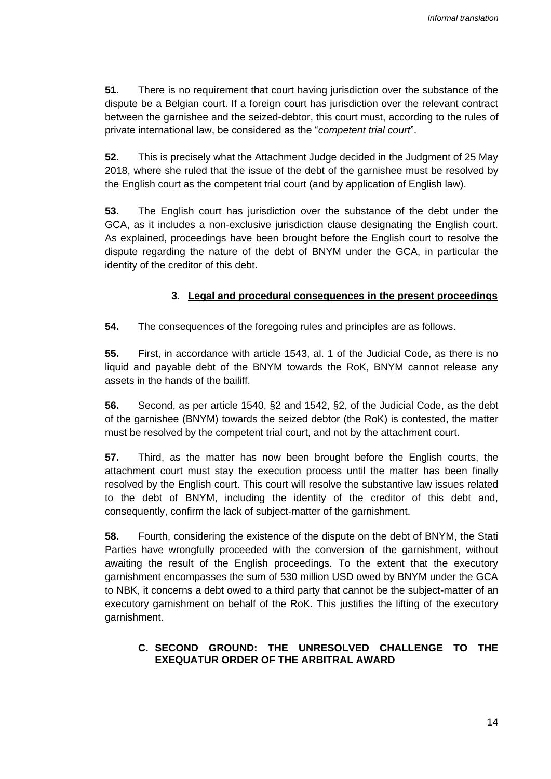**51.** There is no requirement that court having jurisdiction over the substance of the dispute be a Belgian court. If a foreign court has jurisdiction over the relevant contract between the garnishee and the seized-debtor, this court must, according to the rules of private international law, be considered as the "*competent trial court*".

**52.** This is precisely what the Attachment Judge decided in the Judgment of 25 May 2018, where she ruled that the issue of the debt of the garnishee must be resolved by the English court as the competent trial court (and by application of English law).

**53.** The English court has jurisdiction over the substance of the debt under the GCA, as it includes a non-exclusive jurisdiction clause designating the English court. As explained, proceedings have been brought before the English court to resolve the dispute regarding the nature of the debt of BNYM under the GCA, in particular the identity of the creditor of this debt.

#### **3. Legal and procedural consequences in the present proceedings**

**54.** The consequences of the foregoing rules and principles are as follows.

**55.** First, in accordance with article 1543, al. 1 of the Judicial Code, as there is no liquid and payable debt of the BNYM towards the RoK, BNYM cannot release any assets in the hands of the bailiff.

**56.** Second, as per article 1540, §2 and 1542, §2, of the Judicial Code, as the debt of the garnishee (BNYM) towards the seized debtor (the RoK) is contested, the matter must be resolved by the competent trial court, and not by the attachment court.

**57.** Third, as the matter has now been brought before the English courts, the attachment court must stay the execution process until the matter has been finally resolved by the English court. This court will resolve the substantive law issues related to the debt of BNYM, including the identity of the creditor of this debt and, consequently, confirm the lack of subject-matter of the garnishment.

**58.** Fourth, considering the existence of the dispute on the debt of BNYM, the Stati Parties have wrongfully proceeded with the conversion of the garnishment, without awaiting the result of the English proceedings. To the extent that the executory garnishment encompasses the sum of 530 million USD owed by BNYM under the GCA to NBK, it concerns a debt owed to a third party that cannot be the subject-matter of an executory garnishment on behalf of the RoK. This justifies the lifting of the executory garnishment.

## **C. SECOND GROUND: THE UNRESOLVED CHALLENGE TO THE EXEQUATUR ORDER OF THE ARBITRAL AWARD**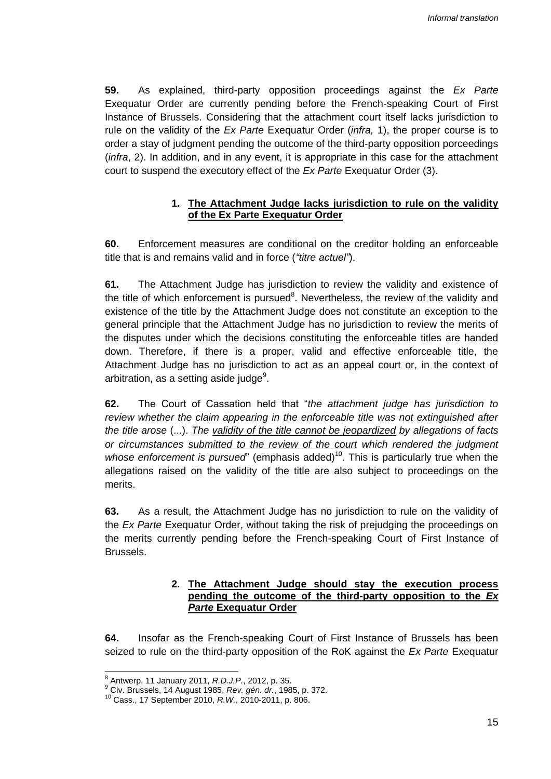**59.** As explained, third-party opposition proceedings against the *Ex Parte* Exequatur Order are currently pending before the French-speaking Court of First Instance of Brussels. Considering that the attachment court itself lacks jurisdiction to rule on the validity of the *Ex Parte* Exequatur Order (*infra,* 1), the proper course is to order a stay of judgment pending the outcome of the third-party opposition porceedings (*infra*, 2). In addition, and in any event, it is appropriate in this case for the attachment court to suspend the executory effect of the *Ex Parte* Exequatur Order (3).

## **1. The Attachment Judge lacks jurisdiction to rule on the validity of the Ex Parte Exequatur Order**

**60.** Enforcement measures are conditional on the creditor holding an enforceable title that is and remains valid and in force (*"titre actuel"*).

**61.** The Attachment Judge has jurisdiction to review the validity and existence of the title of which enforcement is pursued<sup>8</sup>. Nevertheless, the review of the validity and existence of the title by the Attachment Judge does not constitute an exception to the general principle that the Attachment Judge has no jurisdiction to review the merits of the disputes under which the decisions constituting the enforceable titles are handed down. Therefore, if there is a proper, valid and effective enforceable title, the Attachment Judge has no jurisdiction to act as an appeal court or, in the context of arbitration, as a setting aside judge $^9$ .

**62.** The Court of Cassation held that "*the attachment judge has jurisdiction to review whether the claim appearing in the enforceable title was not extinguished after the title arose* (...). *The validity of the title cannot be jeopardized by allegations of facts or circumstances submitted to the review of the court which rendered the judgment whose enforcement is pursued*" (emphasis added)<sup>10</sup>. This is particularly true when the allegations raised on the validity of the title are also subject to proceedings on the merits.

**63.** As a result, the Attachment Judge has no jurisdiction to rule on the validity of the *Ex Parte* Exequatur Order, without taking the risk of prejudging the proceedings on the merits currently pending before the French-speaking Court of First Instance of Brussels.

#### **2. The Attachment Judge should stay the execution process pending the outcome of the third-party opposition to the** *Ex Parte* **Exequatur Order**

**64.** Insofar as the French-speaking Court of First Instance of Brussels has been seized to rule on the third-party opposition of the RoK against the *Ex Parte* Exequatur

 <sup>8</sup> Antwerp, 11 January 2011, *R.D.J.P.*, 2012, p. 35.

<sup>9</sup> Civ. Brussels, 14 August 1985, *Rev. gén. dr.*, 1985, p. 372.

<sup>10</sup> Cass., 17 September 2010, *R.W.*, 2010-2011, p. 806.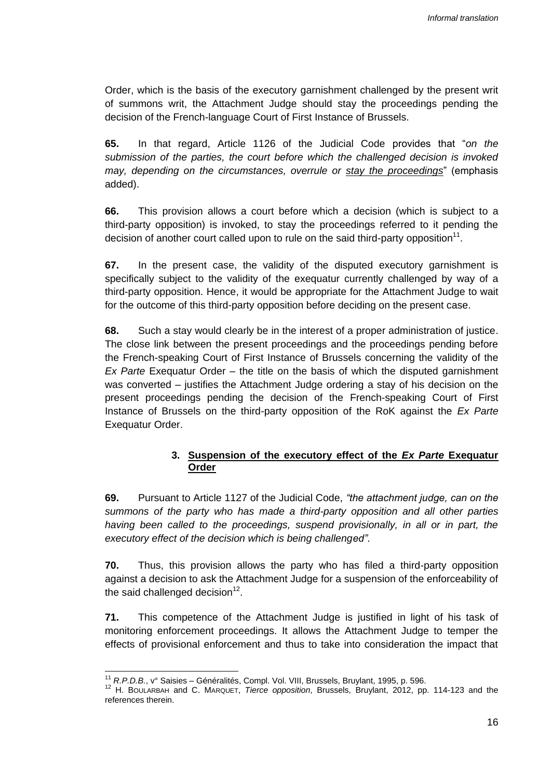Order, which is the basis of the executory garnishment challenged by the present writ of summons writ, the Attachment Judge should stay the proceedings pending the decision of the French-language Court of First Instance of Brussels.

**65.** In that regard, Article 1126 of the Judicial Code provides that "*on the submission of the parties, the court before which the challenged decision is invoked may, depending on the circumstances, overrule or stay the proceedings*" (emphasis added).

**66.** This provision allows a court before which a decision (which is subject to a third-party opposition) is invoked, to stay the proceedings referred to it pending the decision of another court called upon to rule on the said third-party opposition<sup>11</sup>.

**67.** In the present case, the validity of the disputed executory garnishment is specifically subject to the validity of the exequatur currently challenged by way of a third-party opposition. Hence, it would be appropriate for the Attachment Judge to wait for the outcome of this third-party opposition before deciding on the present case.

**68.** Such a stay would clearly be in the interest of a proper administration of justice. The close link between the present proceedings and the proceedings pending before the French-speaking Court of First Instance of Brussels concerning the validity of the *Ex Parte* Exequatur Order – the title on the basis of which the disputed garnishment was converted – justifies the Attachment Judge ordering a stay of his decision on the present proceedings pending the decision of the French-speaking Court of First Instance of Brussels on the third-party opposition of the RoK against the *Ex Parte* Exequatur Order.

#### **3. Suspension of the executory effect of the** *Ex Parte* **Exequatur Order**

**69.** Pursuant to Article 1127 of the Judicial Code, *"the attachment judge, can on the summons of the party who has made a third-party opposition and all other parties having been called to the proceedings, suspend provisionally, in all or in part, the executory effect of the decision which is being challenged"*.

**70.** Thus, this provision allows the party who has filed a third-party opposition against a decision to ask the Attachment Judge for a suspension of the enforceability of the said challenged decision $12$ .

**71.** This competence of the Attachment Judge is justified in light of his task of monitoring enforcement proceedings. It allows the Attachment Judge to temper the effects of provisional enforcement and thus to take into consideration the impact that

 <sup>11</sup> *R.P.D.B.*, v° Saisies – Généralités, Compl. Vol. VIII, Brussels, Bruylant, 1995, p. 596.

<sup>12</sup> H. BOULARBAH and C. MARQUET, *Tierce opposition*, Brussels, Bruylant, 2012, pp. 114-123 and the references therein.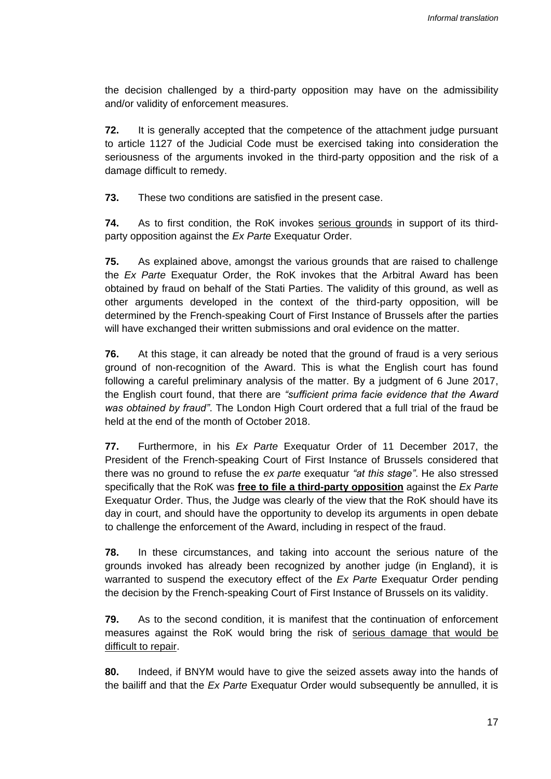the decision challenged by a third-party opposition may have on the admissibility and/or validity of enforcement measures.

**72.** It is generally accepted that the competence of the attachment judge pursuant to article 1127 of the Judicial Code must be exercised taking into consideration the seriousness of the arguments invoked in the third-party opposition and the risk of a damage difficult to remedy.

**73.** These two conditions are satisfied in the present case.

**74.** As to first condition, the RoK invokes serious grounds in support of its thirdparty opposition against the *Ex Parte* Exequatur Order.

**75.** As explained above, amongst the various grounds that are raised to challenge the *Ex Parte* Exequatur Order, the RoK invokes that the Arbitral Award has been obtained by fraud on behalf of the Stati Parties. The validity of this ground, as well as other arguments developed in the context of the third-party opposition, will be determined by the French-speaking Court of First Instance of Brussels after the parties will have exchanged their written submissions and oral evidence on the matter.

**76.** At this stage, it can already be noted that the ground of fraud is a very serious ground of non-recognition of the Award. This is what the English court has found following a careful preliminary analysis of the matter. By a judgment of 6 June 2017, the English court found, that there are *"sufficient prima facie evidence that the Award was obtained by fraud"*. The London High Court ordered that a full trial of the fraud be held at the end of the month of October 2018.

**77.** Furthermore, in his *Ex Parte* Exequatur Order of 11 December 2017, the President of the French-speaking Court of First Instance of Brussels considered that there was no ground to refuse the *ex parte* exequatur *"at this stage"*. He also stressed specifically that the RoK was **free to file a third-party opposition** against the *Ex Parte* Exequatur Order. Thus, the Judge was clearly of the view that the RoK should have its day in court, and should have the opportunity to develop its arguments in open debate to challenge the enforcement of the Award, including in respect of the fraud.

**78.** In these circumstances, and taking into account the serious nature of the grounds invoked has already been recognized by another judge (in England), it is warranted to suspend the executory effect of the *Ex Parte* Exequatur Order pending the decision by the French-speaking Court of First Instance of Brussels on its validity.

**79.** As to the second condition, it is manifest that the continuation of enforcement measures against the RoK would bring the risk of serious damage that would be difficult to repair.

**80.** Indeed, if BNYM would have to give the seized assets away into the hands of the bailiff and that the *Ex Parte* Exequatur Order would subsequently be annulled, it is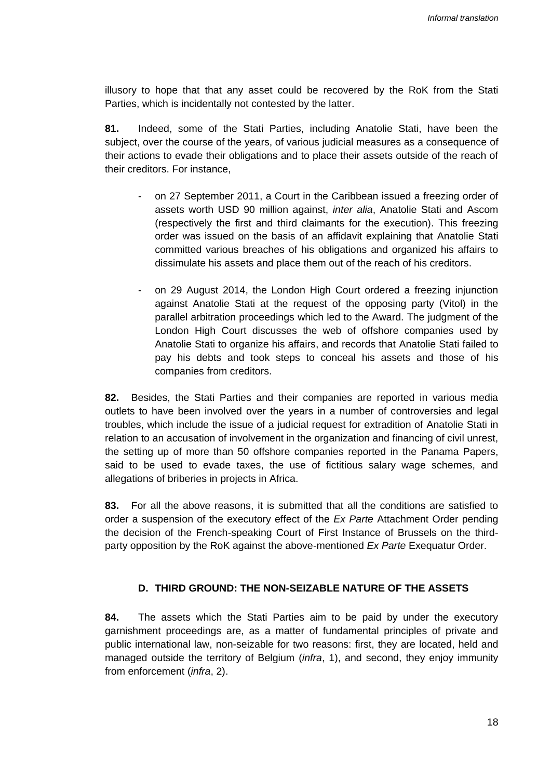illusory to hope that that any asset could be recovered by the RoK from the Stati Parties, which is incidentally not contested by the latter.

**81.** Indeed, some of the Stati Parties, including Anatolie Stati, have been the subject, over the course of the years, of various judicial measures as a consequence of their actions to evade their obligations and to place their assets outside of the reach of their creditors. For instance,

- on 27 September 2011, a Court in the Caribbean issued a freezing order of assets worth USD 90 million against, *inter alia*, Anatolie Stati and Ascom (respectively the first and third claimants for the execution). This freezing order was issued on the basis of an affidavit explaining that Anatolie Stati committed various breaches of his obligations and organized his affairs to dissimulate his assets and place them out of the reach of his creditors.
- on 29 August 2014, the London High Court ordered a freezing injunction against Anatolie Stati at the request of the opposing party (Vitol) in the parallel arbitration proceedings which led to the Award. The judgment of the London High Court discusses the web of offshore companies used by Anatolie Stati to organize his affairs, and records that Anatolie Stati failed to pay his debts and took steps to conceal his assets and those of his companies from creditors.

**82.** Besides, the Stati Parties and their companies are reported in various media outlets to have been involved over the years in a number of controversies and legal troubles, which include the issue of a judicial request for extradition of Anatolie Stati in relation to an accusation of involvement in the organization and financing of civil unrest, the setting up of more than 50 offshore companies reported in the Panama Papers, said to be used to evade taxes, the use of fictitious salary wage schemes, and allegations of briberies in projects in Africa.

**83.** For all the above reasons, it is submitted that all the conditions are satisfied to order a suspension of the executory effect of the *Ex Parte* Attachment Order pending the decision of the French-speaking Court of First Instance of Brussels on the thirdparty opposition by the RoK against the above-mentioned *Ex Parte* Exequatur Order.

#### **D. THIRD GROUND: THE NON-SEIZABLE NATURE OF THE ASSETS**

**84.** The assets which the Stati Parties aim to be paid by under the executory garnishment proceedings are, as a matter of fundamental principles of private and public international law, non-seizable for two reasons: first, they are located, held and managed outside the territory of Belgium (*infra*, 1), and second, they enjoy immunity from enforcement (*infra*, 2).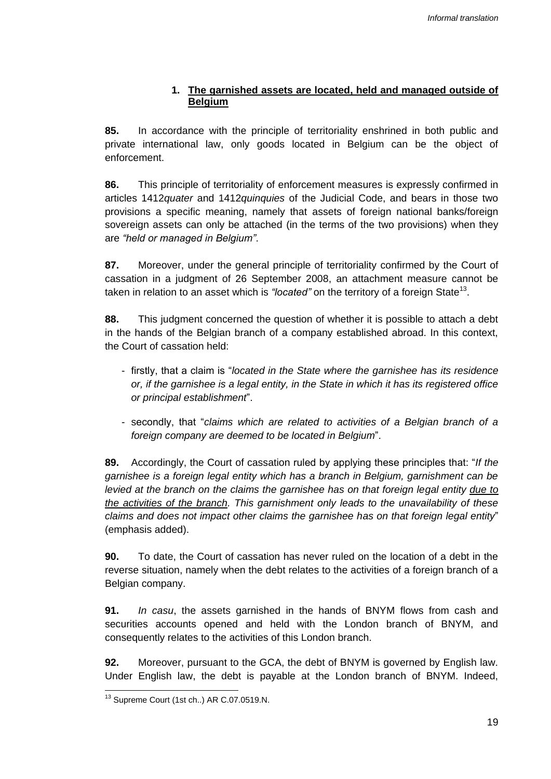## **1. The garnished assets are located, held and managed outside of Belgium**

**85.** In accordance with the principle of territoriality enshrined in both public and private international law, only goods located in Belgium can be the object of enforcement.

**86.** This principle of territoriality of enforcement measures is expressly confirmed in articles 1412*quater* and 1412*quinquies* of the Judicial Code, and bears in those two provisions a specific meaning, namely that assets of foreign national banks/foreign sovereign assets can only be attached (in the terms of the two provisions) when they are *"held or managed in Belgium"*.

**87.** Moreover, under the general principle of territoriality confirmed by the Court of cassation in a judgment of 26 September 2008, an attachment measure cannot be taken in relation to an asset which is *"located"* on the territory of a foreign State<sup>13</sup>.

**88.** This judgment concerned the question of whether it is possible to attach a debt in the hands of the Belgian branch of a company established abroad. In this context, the Court of cassation held:

- firstly, that a claim is "*located in the State where the garnishee has its residence or, if the garnishee is a legal entity, in the State in which it has its registered office or principal establishment*".
- secondly, that "*claims which are related to activities of a Belgian branch of a foreign company are deemed to be located in Belgium*".

**89.** Accordingly, the Court of cassation ruled by applying these principles that: "*If the garnishee is a foreign legal entity which has a branch in Belgium, garnishment can be levied at the branch on the claims the garnishee has on that foreign legal entity due to the activities of the branch. This garnishment only leads to the unavailability of these claims and does not impact other claims the garnishee has on that foreign legal entity*" (emphasis added).

**90.** To date, the Court of cassation has never ruled on the location of a debt in the reverse situation, namely when the debt relates to the activities of a foreign branch of a Belgian company.

**91.** *In casu*, the assets garnished in the hands of BNYM flows from cash and securities accounts opened and held with the London branch of BNYM, and consequently relates to the activities of this London branch.

**92.** Moreover, pursuant to the GCA, the debt of BNYM is governed by English law. Under English law, the debt is payable at the London branch of BNYM. Indeed,

 <sup>13</sup> Supreme Court (1st ch..) AR C.07.0519.N.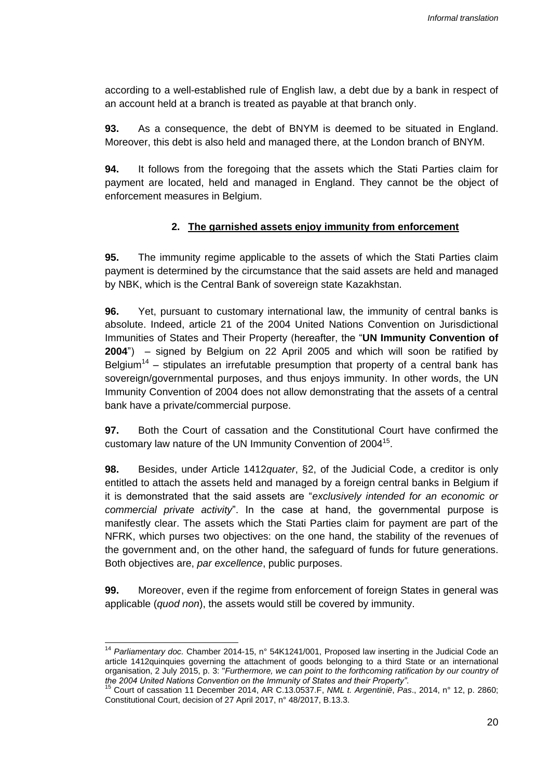according to a well-established rule of English law, a debt due by a bank in respect of an account held at a branch is treated as payable at that branch only.

**93.** As a consequence, the debt of BNYM is deemed to be situated in England. Moreover, this debt is also held and managed there, at the London branch of BNYM.

**94.** It follows from the foregoing that the assets which the Stati Parties claim for payment are located, held and managed in England. They cannot be the object of enforcement measures in Belgium.

#### **2. The garnished assets enjoy immunity from enforcement**

**95.** The immunity regime applicable to the assets of which the Stati Parties claim payment is determined by the circumstance that the said assets are held and managed by NBK, which is the Central Bank of sovereign state Kazakhstan.

**96.** Yet, pursuant to customary international law, the immunity of central banks is absolute. Indeed, article 21 of the 2004 United Nations Convention on Jurisdictional Immunities of States and Their Property (hereafter, the "**UN Immunity Convention of 2004**") – signed by Belgium on 22 April 2005 and which will soon be ratified by Belgium<sup>14</sup> – stipulates an irrefutable presumption that property of a central bank has sovereign/governmental purposes, and thus enjoys immunity. In other words, the UN Immunity Convention of 2004 does not allow demonstrating that the assets of a central bank have a private/commercial purpose.

**97.** Both the Court of cassation and the Constitutional Court have confirmed the customary law nature of the UN Immunity Convention of 2004 $^{15}$ .

**98.** Besides, under Article 1412*quater*, §2, of the Judicial Code, a creditor is only entitled to attach the assets held and managed by a foreign central banks in Belgium if it is demonstrated that the said assets are "*exclusively intended for an economic or commercial private activity*". In the case at hand, the governmental purpose is manifestly clear. The assets which the Stati Parties claim for payment are part of the NFRK, which purses two objectives: on the one hand, the stability of the revenues of the government and, on the other hand, the safeguard of funds for future generations. Both objectives are, *par excellence*, public purposes.

**99.** Moreover, even if the regime from enforcement of foreign States in general was applicable (*quod non*), the assets would still be covered by immunity.

 <sup>14</sup> *Parliamentary doc.* Chamber 2014-15, n° 54K1241/001, Proposed law inserting in the Judicial Code an article 1412quinquies governing the attachment of goods belonging to a third State or an international organisation, 2 July 2015, p. 3: "*Furthermore, we can point to the forthcoming ratification by our country of the 2004 United Nations Convention on the Immunity of States and their Property"*.

<sup>15</sup> Court of cassation 11 December 2014, AR C.13.0537.F, *NML t. Argentinië*, *Pas*., 2014, n° 12, p. 2860; Constitutional Court, decision of 27 April 2017, n° 48/2017, B.13.3.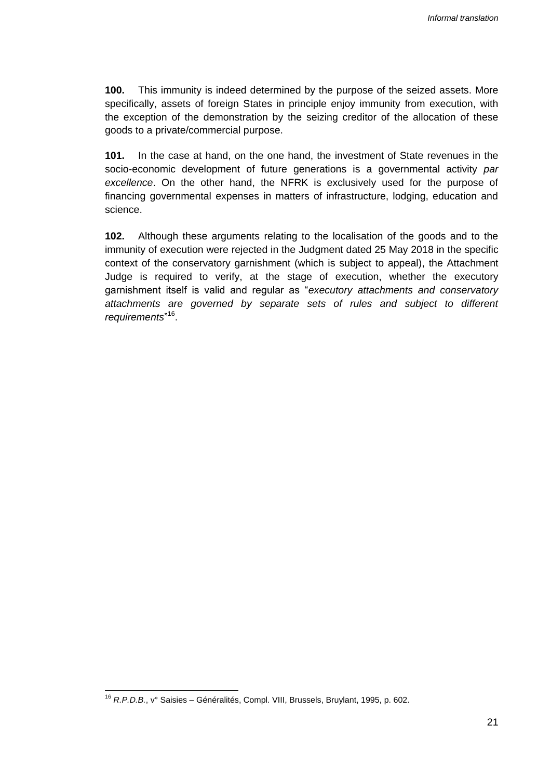**100.** This immunity is indeed determined by the purpose of the seized assets. More specifically, assets of foreign States in principle enjoy immunity from execution, with the exception of the demonstration by the seizing creditor of the allocation of these goods to a private/commercial purpose.

**101.** In the case at hand, on the one hand, the investment of State revenues in the socio-economic development of future generations is a governmental activity *par excellence*. On the other hand, the NFRK is exclusively used for the purpose of financing governmental expenses in matters of infrastructure, lodging, education and science.

**102.** Although these arguments relating to the localisation of the goods and to the immunity of execution were rejected in the Judgment dated 25 May 2018 in the specific context of the conservatory garnishment (which is subject to appeal), the Attachment Judge is required to verify, at the stage of execution, whether the executory garnishment itself is valid and regular as "*executory attachments and conservatory attachments are governed by separate sets of rules and subject to different requirements*" 16 .

<sup>16</sup> *R.P.D.B.*, v° Saisies – Généralités, Compl. VIII, Brussels, Bruylant, 1995, p. 602.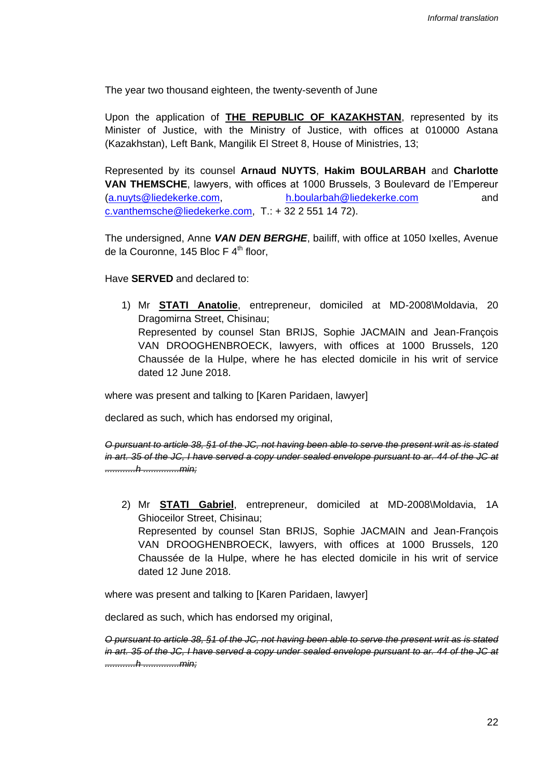The year two thousand eighteen, the twenty-seventh of June

Upon the application of **THE REPUBLIC OF KAZAKHSTAN**, represented by its Minister of Justice, with the Ministry of Justice, with offices at 010000 Astana (Kazakhstan), Left Bank, Mangilik El Street 8, House of Ministries, 13;

Represented by its counsel **Arnaud NUYTS**, **Hakim BOULARBAH** and **Charlotte VAN THEMSCHE**, lawyers, with offices at 1000 Brussels, 3 Boulevard de l'Empereur (a.nuyts@liedekerke.com, h.boularbah@liedekerke.com and c.vanthemsche@liedekerke.com, T.: + 32 2 551 14 72).

The undersigned, Anne *VAN DEN BERGHE*, bailiff, with office at 1050 Ixelles, Avenue de la Couronne, 145 Bloc F  $4<sup>th</sup>$  floor,

Have **SERVED** and declared to:

1) Mr **STATI Anatolie**, entrepreneur, domiciled at MD-2008\Moldavia, 20 Dragomirna Street, Chisinau; Represented by counsel Stan BRIJS, Sophie JACMAIN and Jean-François VAN DROOGHENBROECK, lawyers, with offices at 1000 Brussels, 120 Chaussée de la Hulpe, where he has elected domicile in his writ of service dated 12 June 2018.

where was present and talking to [Karen Paridaen, lawyer]

declared as such, which has endorsed my original,

*O pursuant to article 38, §1 of the JC, not having been able to serve the present writ as is stated in art. 35 of the JC, I have served a copy under sealed envelope pursuant to ar. 44 of the JC at ............h ..............min;* 

2) Mr **STATI Gabriel**, entrepreneur, domiciled at MD-2008\Moldavia, 1A Ghioceilor Street, Chisinau; Represented by counsel Stan BRIJS, Sophie JACMAIN and Jean-François VAN DROOGHENBROECK, lawyers, with offices at 1000 Brussels, 120 Chaussée de la Hulpe, where he has elected domicile in his writ of service dated 12 June 2018.

where was present and talking to [Karen Paridaen, lawyer]

declared as such, which has endorsed my original,

*O pursuant to article 38, §1 of the JC, not having been able to serve the present writ as is stated in art. 35 of the JC, I have served a copy under sealed envelope pursuant to ar. 44 of the JC at ............h ..............min;*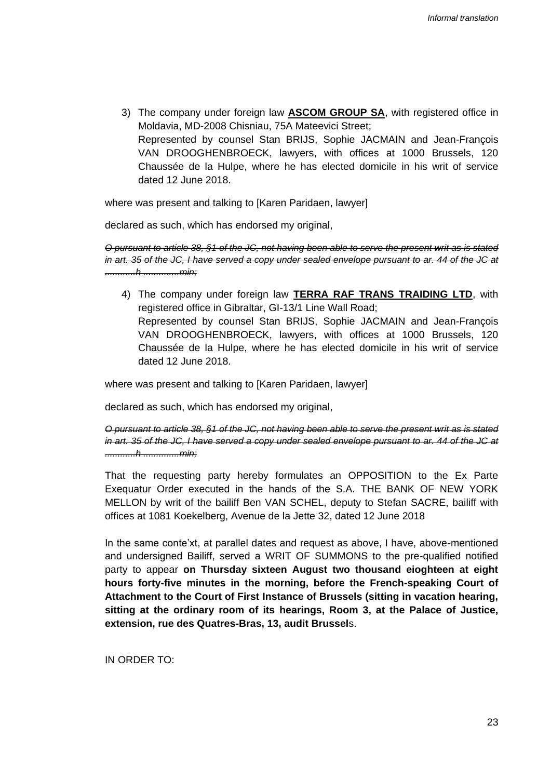3) The company under foreign law **ASCOM GROUP SA**, with registered office in Moldavia, MD-2008 Chisniau, 75A Mateevici Street; Represented by counsel Stan BRIJS, Sophie JACMAIN and Jean-François VAN DROOGHENBROECK, lawyers, with offices at 1000 Brussels, 120 Chaussée de la Hulpe, where he has elected domicile in his writ of service dated 12 June 2018.

where was present and talking to [Karen Paridaen, lawyer]

declared as such, which has endorsed my original,

*O pursuant to article 38, §1 of the JC, not having been able to serve the present writ as is stated in art. 35 of the JC, I have served a copy under sealed envelope pursuant to ar. 44 of the JC at ............h ..............min;* 

4) The company under foreign law **TERRA RAF TRANS TRAIDING LTD**, with registered office in Gibraltar, GI-13/1 Line Wall Road; Represented by counsel Stan BRIJS, Sophie JACMAIN and Jean-François VAN DROOGHENBROECK, lawyers, with offices at 1000 Brussels, 120 Chaussée de la Hulpe, where he has elected domicile in his writ of service dated 12 June 2018.

where was present and talking to [Karen Paridaen, lawyer]

declared as such, which has endorsed my original,

*O pursuant to article 38, §1 of the JC, not having been able to serve the present writ as is stated in art. 35 of the JC, I have served a copy under sealed envelope pursuant to ar. 44 of the JC at ............h ..............min;* 

That the requesting party hereby formulates an OPPOSITION to the Ex Parte Exequatur Order executed in the hands of the S.A. THE BANK OF NEW YORK MELLON by writ of the bailiff Ben VAN SCHEL, deputy to Stefan SACRE, bailiff with offices at 1081 Koekelberg, Avenue de la Jette 32, dated 12 June 2018

In the same conte'xt, at parallel dates and request as above, I have, above-mentioned and undersigned Bailiff, served a WRIT OF SUMMONS to the pre-qualified notified party to appear **on Thursday sixteen August two thousand eioghteen at eight hours forty-five minutes in the morning, before the French-speaking Court of Attachment to the Court of First Instance of Brussels (sitting in vacation hearing, sitting at the ordinary room of its hearings, Room 3, at the Palace of Justice, extension, rue des Quatres-Bras, 13, audit Brussel**s.

IN ORDER TO: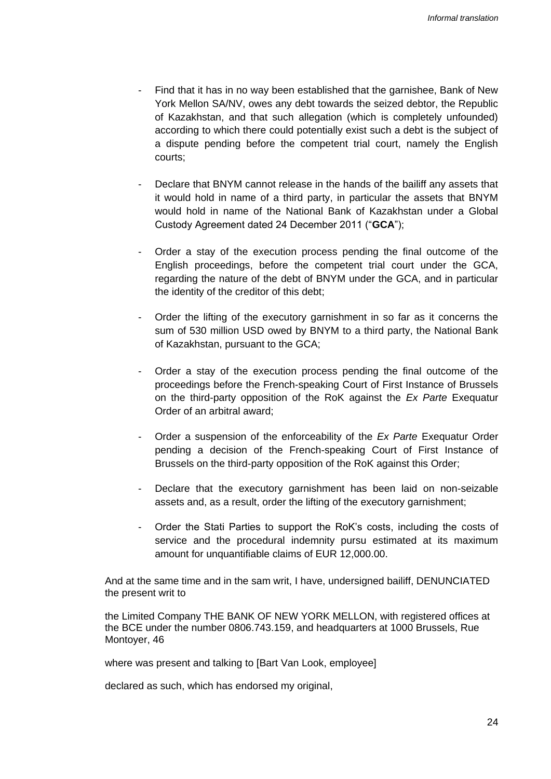- Find that it has in no way been established that the garnishee, Bank of New York Mellon SA/NV, owes any debt towards the seized debtor, the Republic of Kazakhstan, and that such allegation (which is completely unfounded) according to which there could potentially exist such a debt is the subject of a dispute pending before the competent trial court, namely the English courts;
- Declare that BNYM cannot release in the hands of the bailiff any assets that it would hold in name of a third party, in particular the assets that BNYM would hold in name of the National Bank of Kazakhstan under a Global Custody Agreement dated 24 December 2011 ("**GCA**");
- Order a stay of the execution process pending the final outcome of the English proceedings, before the competent trial court under the GCA, regarding the nature of the debt of BNYM under the GCA, and in particular the identity of the creditor of this debt;
- Order the lifting of the executory garnishment in so far as it concerns the sum of 530 million USD owed by BNYM to a third party, the National Bank of Kazakhstan, pursuant to the GCA;
- Order a stay of the execution process pending the final outcome of the proceedings before the French-speaking Court of First Instance of Brussels on the third-party opposition of the RoK against the *Ex Parte* Exequatur Order of an arbitral award;
- Order a suspension of the enforceability of the *Ex Parte* Exequatur Order pending a decision of the French-speaking Court of First Instance of Brussels on the third-party opposition of the RoK against this Order;
- Declare that the executory garnishment has been laid on non-seizable assets and, as a result, order the lifting of the executory garnishment;
- Order the Stati Parties to support the RoK's costs, including the costs of service and the procedural indemnity pursu estimated at its maximum amount for unquantifiable claims of EUR 12,000.00.

And at the same time and in the sam writ, I have, undersigned bailiff, DENUNCIATED the present writ to

the Limited Company THE BANK OF NEW YORK MELLON, with registered offices at the BCE under the number 0806.743.159, and headquarters at 1000 Brussels, Rue Montoyer, 46

where was present and talking to [Bart Van Look, employee]

declared as such, which has endorsed my original,